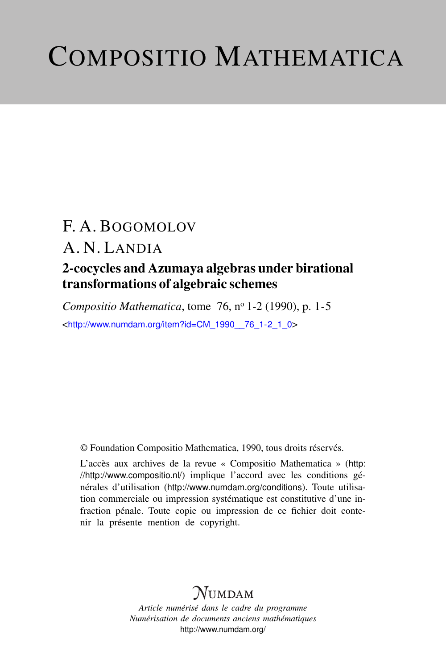# COMPOSITIO MATHEMATICA

## F. A. BOGOMOLOV

## A. N. LANDIA

### 2-cocycles and Azumaya algebras under birational transformations of algebraic schemes

*Compositio Mathematica*, tome 76, nº 1-2 (1990), p. 1-5 <[http://www.numdam.org/item?id=CM\\_1990\\_\\_76\\_1-2\\_1\\_0](http://www.numdam.org/item?id=CM_1990__76_1-2_1_0)>

© Foundation Compositio Mathematica, 1990, tous droits réservés.

L'accès aux archives de la revue « Compositio Mathematica » ([http:](http://http://www.compositio.nl/) [//http://www.compositio.nl/](http://http://www.compositio.nl/)) implique l'accord avec les conditions générales d'utilisation (<http://www.numdam.org/conditions>). Toute utilisation commerciale ou impression systématique est constitutive d'une infraction pénale. Toute copie ou impression de ce fichier doit contenir la présente mention de copyright.

## **NUMDAM**

*Article numérisé dans le cadre du programme Numérisation de documents anciens mathématiques* <http://www.numdam.org/>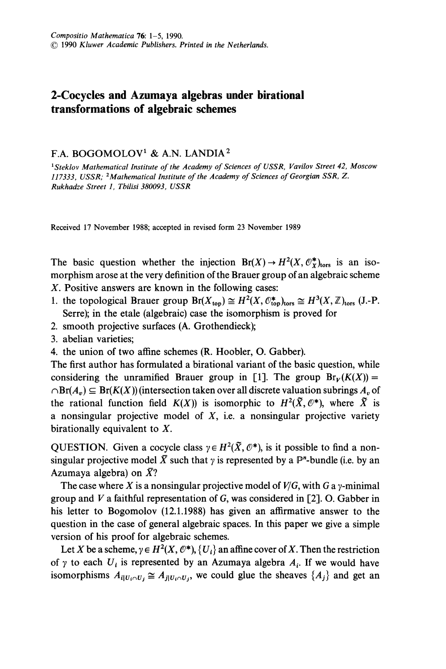#### 2-Cocycles and Azumaya algebras under birational transformations of algebraic schemes

#### F.A. BOGOMOLOV1 & A.N. LANDIA2

'Steklov Mathematical Institute of the Academy of Sciences of USSR, Vavilov Street 42, Moscow 117333, USSR; 2Mathematical Institute of the Academy of Sciences of Georgian SSR, Z. Rukhadze Street 1, Tbilisi 380093, USSR

Received 17 November 1988; accepted in revised form 23 November 1989

The basic question whether the injection  $Br(X) \to H^2(X, \mathcal{O}_X^*)_{tors}$  is an isomorphism arose at the very definition of the Brauer group of an algebraic scheme X. Positive answers are known in the following cases:

- 1. the topological Brauer group  $Br(X_{\text{top}}) \cong H^2(X, \mathcal{O}_{\text{top}}^*)_{\text{tors}} \cong H^3(X, \mathbb{Z})_{\text{tors}}$  (J.-P. Serre); in the etale (algebraic) case the isomorphism is proved for
- 2. smooth projective surfaces (A. Grothendieck);
- 3. abelian varieties;
- 4. the union of two affine schemes (R. Hoobler, O. Gabber).

The first author has formulated a birational variant of the basic question, while considering the unramified Brauer group in [1]. The group  $Br_V(K(X)) =$  $\cap$ Br(A<sub>v</sub>)  $\subseteq$  Br(K(X)) (intersection taken over all discrete valuation subrings A<sub>v</sub> of the rational function field  $K(X)$  is isomorphic to  $H^2(\tilde{X}, \mathcal{O}^*)$ , where  $\tilde{X}$  is a nonsingular projective model of  $X$ , i.e. a nonsingular projective variety birationally equivalent to  $X$ .

QUESTION. Given a cocycle class  $y \in H^2(\tilde{X}, \mathcal{O}^*)$ , is it possible to find a nonsingular projective model  $\bar{X}$  such that y is represented by a  $\mathbb{P}^n$ -bundle (i.e. by an Azumaya algebra) on  $\bar{X}$ ?

The case where X is a nonsingular projective model of  $V/G$ , with G a y-minimal group and  $V$  a faithful representation of  $G$ , was considered in [2]. O. Gabber in his letter to Bogomolov (12.1.1988) has given an affirmative answer to the question in the case of general algebraic spaces. In this paper we give a simple version of his proof for algebraic schemes.

Let X be a scheme,  $\gamma \in H^2(X, \mathcal{O}^*)$ ,  $\{U_i\}$  an affine cover of X. Then the restriction of  $\gamma$  to each  $U_i$  is represented by an Azumaya algebra  $A_i$ . If we would have isomorphisms  $A_{i|U_i \cap U_j} \cong A_{j|U_i \cap U_j}$ , we could glue the sheaves  $\{A_j\}$  and get an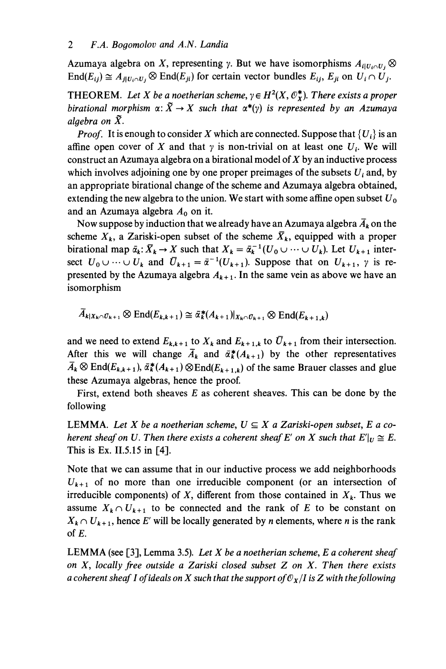Azumaya algebra on X, representing y. But we have isomorphisms  $A_{i|U_i\cap U_j}$   $\otimes$  $\text{End}(E_{ii}) \cong A_{j|U_i \cap U_j} \otimes \text{End}(E_{ii})$  for certain vector bundles  $E_{ii}$ ,  $E_{ii}$  on  $U_i \cap U_j$ .

THEOREM. Let X be a noetherian scheme,  $\gamma \in H^2(X, \mathcal{O}_X^*)$ . There exists a proper birational morphism  $\alpha: \tilde{X} \to X$  such that  $\alpha^*(y)$  is represented by an Azumaya algebra on  $\tilde{X}$ .

*Proof.* It is enough to consider X which are connected. Suppose that  ${U_i}$  is an affine open cover of X and that  $\gamma$  is non-trivial on at least one  $U_i$ . We will construct an Azumaya algebra on a birational model of  $X$  by an inductive process which involves adjoining one by one proper preimages of the subsets  $U_i$  and, by an appropriate birational change of the scheme and Azumaya algebra obtained, extending the new algebra to the union. We start with some affine open subset  $U_0$ and an Azumaya algebra  $A_0$  on it.

Now suppose by induction that we already have an Azumaya algebra  $\bar{A}_k$  on the scheme  $X_k$ , a Zariski-open subset of the scheme  $\bar{X}_k$ , equipped with a proper birational map  $\bar{\alpha}_k$ :  $\bar{X}_k \to X$  such that  $X_k = \bar{\alpha}_k^{-1}(U_0 \cup \cdots \cup U_k)$ . Let  $U_{k+1}$  intersect  $U_0 \cup \cdots \cup U_k$  and  $\overline{U}_{k+1} = \overline{\alpha}^{-1}(U_{k+1})$ . Suppose that on  $U_{k+1}$ ,  $\gamma$  is represented by the Azumaya algebra  $A_{k+1}$ . In the same vein as above we have an isomorphism

$$
A_{k|X_k \cap U_{k+1}} \otimes \text{End}(E_{k,k+1}) \cong \bar{\alpha}_k^*(A_{k+1})|_{X_k \cap U_{k+1}} \otimes \text{End}(E_{k+1,k})
$$

and we need to extend  $E_{k,k+1}$  to  $X_k$  and  $E_{k+1,k}$  to  $\overline{U}_{k+1}$  from their intersection. After this we will change  $\overline{A}_k$  and  $\overline{a}_k^*(A_{k+1})$  by the other representatives  $\bar{A}_k \otimes \text{End}(E_{k,k+1}), \bar{\alpha}_k^*(A_{k+1}) \otimes \text{End}(E_{k+1,k})$  of the same Brauer classes and glue these Azumaya algebras, hence the proof.

First, extend both sheaves  $E$  as coherent sheaves. This can be done by the following

LEMMA. Let X be a noetherian scheme,  $U \subseteq X$  a Zariski-open subset, E a coherent sheaf on U. Then there exists a coherent sheaf E' on X such that  $E'|_{U} \cong E$ . This is Ex. 11.5.15 in [4].

Note that we can assume that in our inductive process we add neighborhoods  $U_{k+1}$  of no more than one irreducible component (or an intersection of irreducible components) of X, different from those contained in  $X_k$ . Thus we assume  $X_k \cap U_{k+1}$  to be connected and the rank of E to be constant on  $X_k \cap U_{k+1}$ , hence E' will be locally generated by *n* elements, where *n* is the rank of E.

LEMMA (see [3], Lemma 3.5). Let X be a noetherian scheme, E a coherent sheaf on  $X$ , locally free outside a Zariski closed subset  $Z$  on  $X$ . Then there exists a coherent sheaf I of ideals on X such that the support of  $\mathcal{O}_X/I$  is Z with the following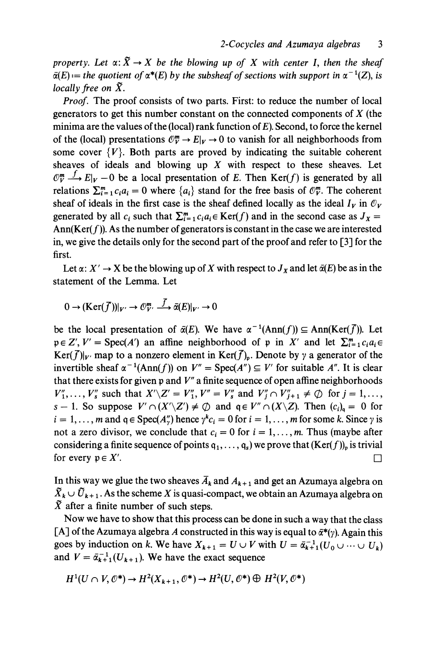property. Let  $\alpha: \tilde{X} \to X$  be the blowing up of X with center I, then the sheaf  $\bar{\alpha}(E) :=$  the quotient of  $\alpha^*(E)$  by the subsheaf of sections with support in  $\alpha^{-1}(Z)$ , is locally free on  $\tilde{X}$ .

Proof. The proof consists of two parts. First: to reduce the number of local generators to get this number constant on the connected components of  $X$  (the minima are the values of the (local) rank function of E). Second, to force the kernel of the (local) presentations  $\mathbb{O}_V^m \to E|_V \to 0$  to vanish for all neighborhoods from some cover  $\{V\}$ . Both parts are proved by indicating the suitable coherent sheaves of ideals and blowing up  $X$  with respect to these sheaves. Let  $\mathbb{O}_{V}^{m} \longrightarrow E|_{V} - 0$  be a local presentation of E. Then Ker(f) is generated by all relations  $\sum_{i=1}^{m} c_i a_i = 0$  where  $\{a_i\}$  stand for the free basis of  $\mathcal{O}_{V}^{m}$ . The coherent sheaf of ideals in the first case is the sheaf defined locally as the ideal  $I_V$  in  $\mathcal{O}_V$ generated by all  $c_i$  such that  $\sum_{i=1}^m c_i a_i \in \text{Ker}(f)$  and in the second case as  $J_x =$ Ann(Ker( $f$ )). As the number of generators is constant in the case we are interested in, we give the details only for the second part of the proof and refer to [3] for the first.

Let  $\alpha: X' \to X$  be the blowing up of X with respect to  $J_X$  and let  $\overline{\alpha}(E)$  be as in the statement of the Lemma. Let

 $0 \to (\text{Ker}(\overline{f}))|_{V'} \to \mathcal{O}_{V'}^m \xrightarrow{\overline{f}} \overline{\alpha}(E)|_{V'} \to 0$ 

be the local presentation of  $\bar{\alpha}(E)$ . We have  $\alpha^{-1}(\text{Ann}(f)) \subseteq \text{Ann}(\text{Ker}(\bar{f}))$ . Let  $p \in Z'$ ,  $V' = \text{Spec}(A')$  an affine neighborhood of p in X' and let  $\sum_{i=1}^{m} c_i a_i \in$  $Ker(\overline{f})|_{V'}$  map to a nonzero element in  $Ker(\overline{f})_n$ . Denote by  $\gamma$  a generator of the invertible sheaf  $\alpha^{-1}(\text{Ann}(f))$  on  $V'' = \text{Spec}(A'') \subseteq V'$  for suitable A". It is clear that there exists for given  $p$  and  $V''$  a finite sequence of open affine neighborhoods  $V''_1, \ldots, V''_s$  such that  $X'\backslash Z' = V''_1, V'' = V''_s$  and  $V''_i \cap V''_{i+1} \neq \emptyset$  for  $j = 1, \ldots,$ s – 1. So suppose  $V' \cap (X' \setminus Z') \neq \emptyset$  and  $q \in V'' \cap (X \setminus Z)$ . Then  $(c_i)_q = 0$  for  $i = 1, \ldots, m$  and  $q \in \text{Spec}(A_{\nu}^{n})$  hence  $\gamma^{k} c_{i} = 0$  for  $i = 1, \ldots, m$  for some k. Since  $\gamma$  is not a zero divisor, we conclude that  $c_i = 0$  for  $i = 1, \ldots, m$ . Thus (maybe after considering a finite sequence of points  $q_1, \ldots, q_s$ ) we prove that  $(Ker(f))_p$  is trivial for every  $p \in X'$ .

In this way we glue the two sheaves  $\overline{A}_k$  and  $A_{k+1}$  and get an Azumaya algebra on  $\tilde{X}_k \cup \tilde{U}_{k+1}$ . As the scheme X is quasi-compact, we obtain an Azumaya algebra on  $\bar{X}$  after a finite number of such steps.

Now we have to show that this process can be done in such a way that the class [A] of the Azumaya algebra A constructed in this way is equal to  $\bar{\alpha}*(\gamma)$ . Again this goes by induction on k. We have  $X_{k+1} = U \cup V$  with  $U = \overline{\alpha}_{k+1}^{-1}(U_0 \cup \cdots \cup U_k)$ and  $V = \overline{\alpha}_{k+1}^{-1}(U_{k+1})$ . We have the exact sequence

$$
H^1(U \cap V, \mathcal{O}^*) \to H^2(X_{k+1}, \mathcal{O}^*) \to H^2(U, \mathcal{O}^*) \oplus H^2(V, \mathcal{O}^*)
$$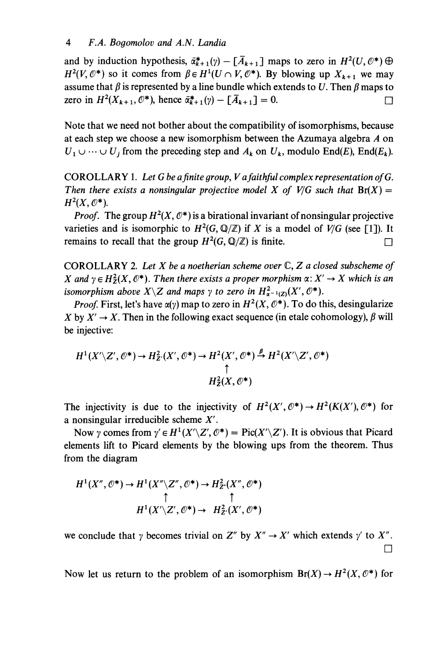and by induction hypothesis,  $\bar{\alpha}_{k+1}^*(\gamma) - [\bar{A}_{k+1}]$  maps to zero in  $H^2(U,0^*)\oplus$  $H^2(V, \mathcal{O}^*)$  so it comes from  $\beta \in H^1(U \cap V, \mathcal{O}^*)$ . By blowing up  $X_{k+1}$  we may assume that  $\beta$  is represented by a line bundle which extends to U. Then  $\beta$  maps to zero in  $H^2(X_{k+1}, \mathcal{O}^*)$ , hence  $\bar{\alpha}_{k+1}^*(\gamma) - [\bar{A}_{k+1}] = 0$ .

Note that we need not bother about the compatibility of isomorphisms, because at each step we choose a new isomorphism between the Azumaya algebra A on  $U_1 \cup \cdots \cup U_j$  from the preceding step and  $A_k$  on  $U_k$ , modulo End(E), End(E<sub>k</sub>).

COROLLARY 1. Let G be a finite group, V a faithful complex representation of G. Then there exists a nonsingular projective model X of V/G such that  $Br(X) =$  $H^2(X,\mathcal{O}^*)$ .

*Proof.* The group  $H^2(X, \mathbb{O}^*)$  is a birational invariant of nonsingular projective varieties and is isomorphic to  $H^2(G, \mathbb{Q}/\mathbb{Z})$  if X is a model of  $V/G$  (see [1]). It remains to recall that the group  $H^2(G, \mathbb{Q}/\mathbb{Z})$  is finite.

COROLLARY 2. Let  $X$  be a noetherian scheme over  $\mathbb{C}, Z$  a closed subscheme of X and  $\gamma \in H^2_Z(X, \mathbb{O}^*)$ . Then there exists a proper morphism  $\alpha \colon X' \to X$  which is an isomorphism above  $X\setminus Z$  and maps  $\gamma$  to zero in  $H^2_{\sigma^{-1}(Z)}(X', \mathcal{O}^*)$ .

*Proof.* First, let's have  $\alpha(\gamma)$  map to zero in  $H^2(X, \mathbb{O}^*)$ . To do this, desingularize X by  $X' \rightarrow X$ . Then in the following exact sequence (in etale cohomology),  $\beta$  will be injective:

$$
H^1(X'\backslash Z',\mathcal{O}^*)\to H^2_{Z'}(X',\mathcal{O}^*)\to H^2(X',\mathcal{O}^*)\stackrel{\beta}{\to} H^2(X'\backslash Z',\mathcal{O}^*)
$$
  

$$
\uparrow
$$
  

$$
H^2_Z(X,\mathcal{O}^*)
$$

The injectivity is due to the injectivity of  $H^2(X', \mathcal{O}^*) \to H^2(K(X'), \mathcal{O}^*)$  for a nonsingular irreducible scheme  $X'$ .

Now y comes from  $\gamma' \in H^1(X' \setminus Z', \mathcal{O}^*) = Pic(X' \setminus Z')$ . It is obvious that Picard elements lift to Picard elements by the blowing ups from the theorem. Thus from the diagram

$$
H^1(X'', \mathcal{O}^*) \to H^1(X'' \backslash Z'', \mathcal{O}^*) \to H^2_{Z'}(X'', \mathcal{O}^*)
$$
  
\n
$$
\uparrow \qquad \qquad \uparrow
$$
  
\n
$$
H^1(X' \backslash Z', \mathcal{O}^*) \to H^2_{Z'}(X', \mathcal{O}^*)
$$

we conclude that  $\gamma$  becomes trivial on Z'' by  $X'' \to X'$  which extends  $\gamma'$  to X''.  $\Box$ 

Now let us return to the problem of an isomorphism  $Br(X) \to H^2(X, \mathcal{O}^*)$  for